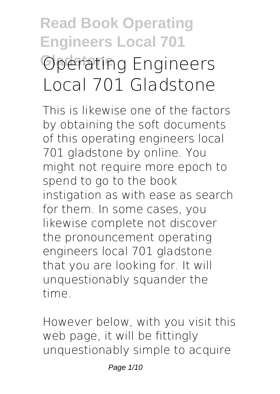# **Read Book Operating Engineers Local 701 Operating Engineers Local 701 Gladstone**

This is likewise one of the factors by obtaining the soft documents of this **operating engineers local 701 gladstone** by online. You might not require more epoch to spend to go to the book instigation as with ease as search for them. In some cases, you likewise complete not discover the pronouncement operating engineers local 701 gladstone that you are looking for. It will unquestionably squander the time.

However below, with you visit this web page, it will be fittingly unquestionably simple to acquire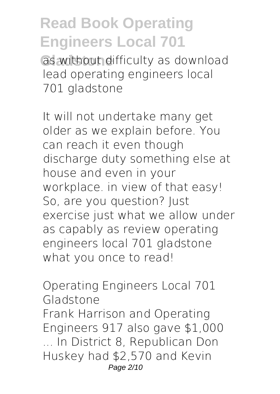**Golds** as without difficulty as download lead operating engineers local 701 gladstone

It will not undertake many get older as we explain before. You can reach it even though discharge duty something else at house and even in your workplace. in view of that easy! So, are you question? Just exercise just what we allow under as capably as review **operating engineers local 701 gladstone** what you once to read!

*Operating Engineers Local 701 Gladstone* Frank Harrison and Operating Engineers 917 also gave \$1,000 ... In District 8, Republican Don Huskey had \$2,570 and Kevin Page 2/10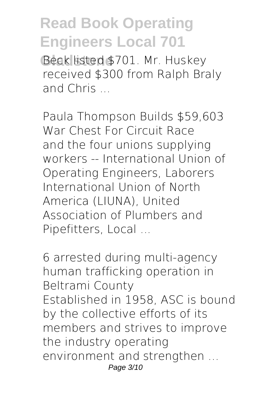Beck listed \$701. Mr. Huskey received \$300 from Ralph Braly and Chris ...

*Paula Thompson Builds \$59,603 War Chest For Circuit Race* and the four unions supplying workers -- International Union of Operating Engineers, Laborers International Union of North America (LIUNA), United Association of Plumbers and Pipefitters, Local ...

*6 arrested during multi-agency human trafficking operation in Beltrami County* Established in 1958, ASC is bound by the collective efforts of its members and strives to improve the industry operating environment and strengthen ... Page 3/10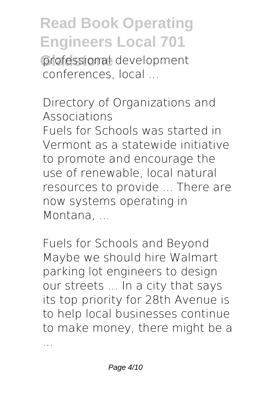professional development conferences, local ...

*Directory of Organizations and Associations* Fuels for Schools was started in Vermont as a statewide initiative to promote and encourage the use of renewable, local natural resources to provide ... There are now systems operating in Montana, ...

*Fuels for Schools and Beyond* Maybe we should hire Walmart parking lot engineers to design our streets ... In a city that says its top priority for 28th Avenue is to help local businesses continue to make money, there might be a ...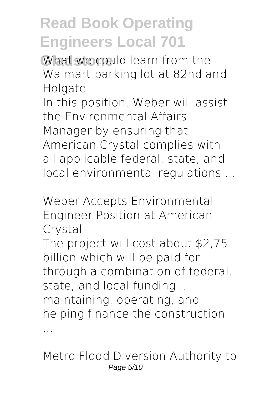**What we could learn from the** *Walmart parking lot at 82nd and Holgate*

In this position, Weber will assist the Environmental Affairs Manager by ensuring that American Crystal complies with all applicable federal, state, and local environmental regulations ...

*Weber Accepts Environmental Engineer Position at American Crystal*

The project will cost about \$2,75 billion which will be paid for through a combination of federal, state, and local funding ... maintaining, operating, and helping finance the construction

...

*Metro Flood Diversion Authority to* Page 5/10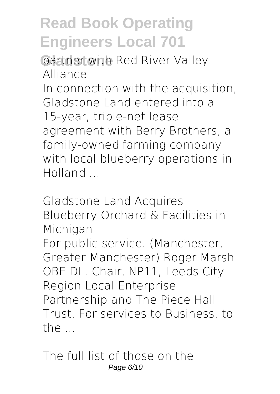*<u>partner</u> with Red River Valley Alliance*

In connection with the acquisition, Gladstone Land entered into a 15-year, triple-net lease agreement with Berry Brothers, a family-owned farming company with local blueberry operations in Holland ...

*Gladstone Land Acquires Blueberry Orchard & Facilities in Michigan* For public service. (Manchester, Greater Manchester) Roger Marsh OBE DL. Chair, NP11, Leeds City Region Local Enterprise Partnership and The Piece Hall Trust. For services to Business, to the ...

*The full list of those on the* Page 6/10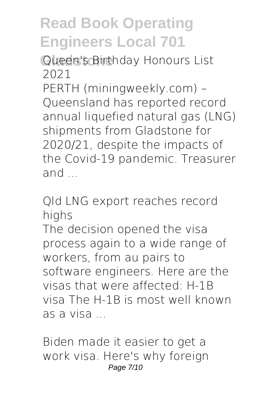**Gladstone** *Queen's Birthday Honours List 2021*

PERTH (miningweekly.com) – Queensland has reported record annual liquefied natural gas (LNG) shipments from Gladstone for 2020/21, despite the impacts of the Covid-19 pandemic. Treasurer and ...

*Qld LNG export reaches record highs*

The decision opened the visa process again to a wide range of workers, from au pairs to software engineers. Here are the visas that were affected: H-1B visa The H-1B is most well known as a visa ...

*Biden made it easier to get a work visa. Here's why foreign* Page 7/10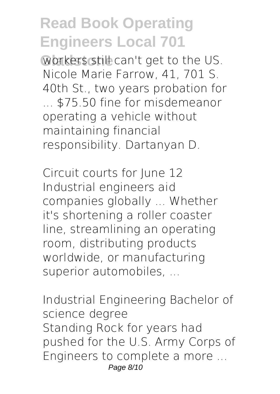Workers still can't get to the US. Nicole Marie Farrow, 41, 701 S. 40th St., two years probation for ... \$75.50 fine for misdemeanor operating a vehicle without maintaining financial responsibility. Dartanyan D.

*Circuit courts for June 12* Industrial engineers aid companies globally ... Whether it's shortening a roller coaster line, streamlining an operating room, distributing products worldwide, or manufacturing superior automobiles, ...

*Industrial Engineering Bachelor of science degree* Standing Rock for years had pushed for the U.S. Army Corps of Engineers to complete a more ... Page 8/10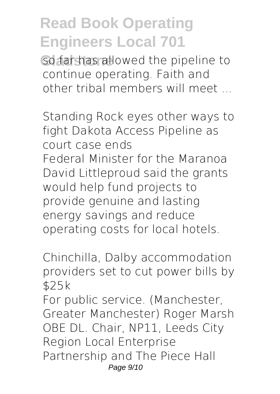so far has allowed the pipeline to continue operating. Faith and other tribal members will meet ...

*Standing Rock eyes other ways to fight Dakota Access Pipeline as court case ends* Federal Minister for the Maranoa David Littleproud said the grants would help fund projects to provide genuine and lasting energy savings and reduce operating costs for local hotels.

*Chinchilla, Dalby accommodation providers set to cut power bills by \$25k*

For public service. (Manchester, Greater Manchester) Roger Marsh OBE DL. Chair, NP11, Leeds City Region Local Enterprise Partnership and The Piece Hall Page 9/10